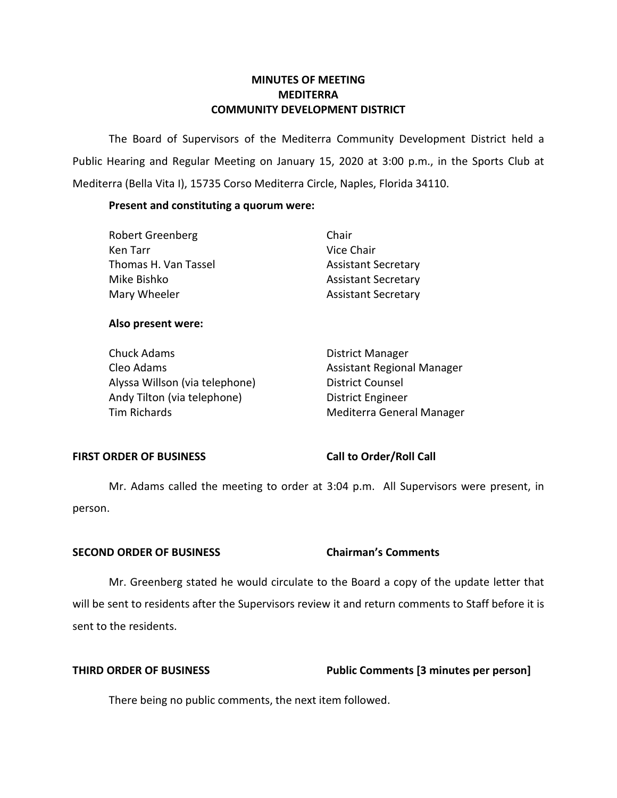# **COMMUNITY DEVELOPMENT DISTRICT MINUTES OF MEETING MEDITERRA**

 The Board of Supervisors of the Mediterra Community Development District held a Public Hearing and Regular Meeting on January 15, 2020 at 3:00 p.m., in the Sports Club at Mediterra (Bella Vita I), 15735 Corso Mediterra Circle, Naples, Florida 34110.

# **Present and constituting a quorum were:**

| Robert Greenberg     | Chair                      |
|----------------------|----------------------------|
| Ken Tarr             | Vice Chair                 |
| Thomas H. Van Tassel | <b>Assistant Secretary</b> |
| Mike Bishko          | <b>Assistant Secretary</b> |
| Mary Wheeler         | <b>Assistant Secretary</b> |

## **Also present were:**

| Chuck Adams                    | <b>District Manager</b>           |
|--------------------------------|-----------------------------------|
| Cleo Adams                     | <b>Assistant Regional Manager</b> |
| Alyssa Willson (via telephone) | <b>District Counsel</b>           |
| Andy Tilton (via telephone)    | <b>District Engineer</b>          |
| Tim Richards                   | Mediterra General Manager         |

## **FIRST ORDER OF BUSINESS**

## **Call to Order/Roll Call**

 Mr. Adams called the meeting to order at 3:04 p.m. All Supervisors were present, in person.

### **SECOND ORDER OF BUSINESS Chairman's Comments**

 Mr. Greenberg stated he would circulate to the Board a copy of the update letter that will be sent to residents after the Supervisors review it and return comments to Staff before it is sent to the residents.

# **THIRD ORDER OF BUSINESS Public Comments [3 minutes per person]**

There being no public comments, the next item followed.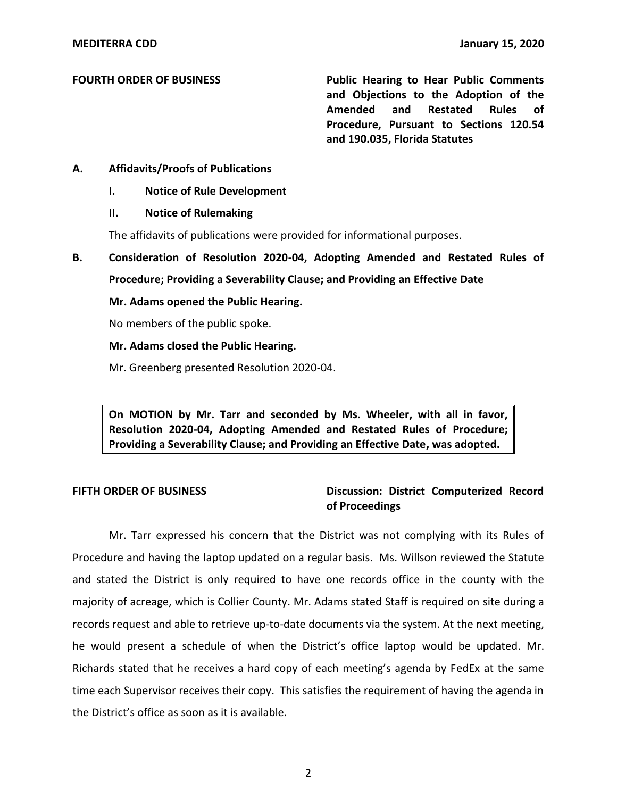## **FOURTH ORDER OF BUSINESS**

 **and Objections to the Adoption of the Amended and Restated Rules of Procedure, Pursuant to Sections 120.54 and 190.035, Florida Statutes Public Hearing to Hear Public Comments** 

# **A. Affidavits/Proofs of Publications**

 **I. Notice of Rule Development** 

## **II. Notice of Rulemaking**

The affidavits of publications were provided for informational purposes.

 **B. Consideration of Resolution 2020-04, Adopting Amended and Restated Rules of Procedure; Providing a Severability Clause; and Providing an Effective Date** 

# **Mr. Adams opened the Public Hearing.**

No members of the public spoke.

## **Mr. Adams closed the Public Hearing.**

Mr. Greenberg presented Resolution 2020-04.

 **On MOTION by Mr. Tarr and seconded by Ms. Wheeler, with all in favor, Resolution 2020-04, Adopting Amended and Restated Rules of Procedure; Providing a Severability Clause; and Providing an Effective Date, was adopted.** 

### **FIFTH ORDER OF BUSINESS**

# **Discussion: District Computerized Record of Proceedings**

 Mr. Tarr expressed his concern that the District was not complying with its Rules of Procedure and having the laptop updated on a regular basis. Ms. Willson reviewed the Statute and stated the District is only required to have one records office in the county with the majority of acreage, which is Collier County. Mr. Adams stated Staff is required on site during a records request and able to retrieve up-to-date documents via the system. At the next meeting, he would present a schedule of when the District's office laptop would be updated. Mr. Richards stated that he receives a hard copy of each meeting's agenda by FedEx at the same time each Supervisor receives their copy. This satisfies the requirement of having the agenda in the District's office as soon as it is available.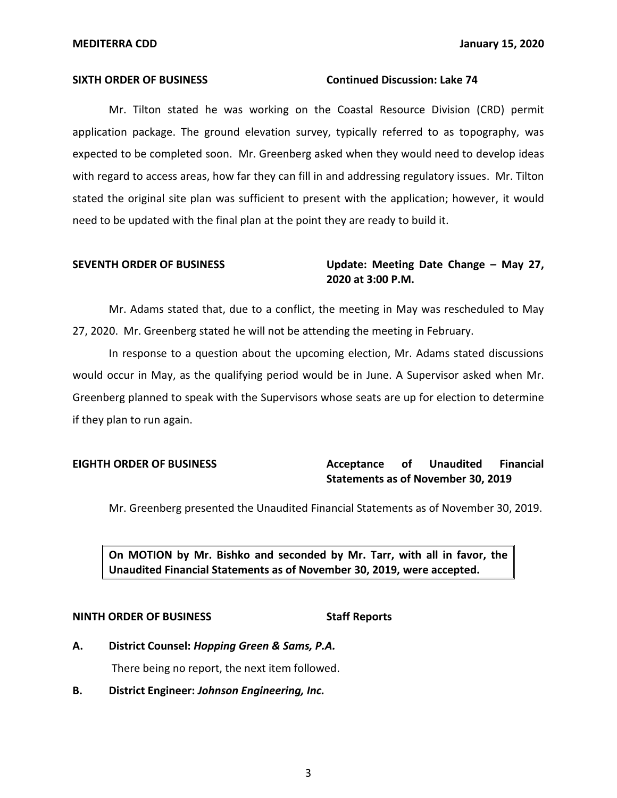### **SIXTH ORDER OF BUSINESS** Continued Discussion: Lake 74

 Mr. Tilton stated he was working on the Coastal Resource Division (CRD) permit application package. The ground elevation survey, typically referred to as topography, was expected to be completed soon. Mr. Greenberg asked when they would need to develop ideas with regard to access areas, how far they can fill in and addressing regulatory issues. Mr. Tilton stated the original site plan was sufficient to present with the application; however, it would need to be updated with the final plan at the point they are ready to build it.

# **SEVENTH ORDER OF BUSINESS Update: Meeting Date Change – May 27, 2020 at 3:00 P.M.**

 Mr. Adams stated that, due to a conflict, the meeting in May was rescheduled to May 27, 2020. Mr. Greenberg stated he will not be attending the meeting in February.

 In response to a question about the upcoming election, Mr. Adams stated discussions would occur in May, as the qualifying period would be in June. A Supervisor asked when Mr. Greenberg planned to speak with the Supervisors whose seats are up for election to determine if they plan to run again.

# **EIGHTH ORDER OF BUSINESS Acceptance** of Unaudited Financial  **Statements as of November 30, 2019**

Mr. Greenberg presented the Unaudited Financial Statements as of November 30, 2019.

 **On MOTION by Mr. Bishko and seconded by Mr. Tarr, with all in favor, the Unaudited Financial Statements as of November 30, 2019, were accepted.** 

### **NINTH ORDER OF BUSINESS** Staff Reports

- **A. District Counsel:** *Hopping Green & Sams, P.A.*  There being no report, the next item followed.
- **B. District Engineer:** *Johnson Engineering, Inc.*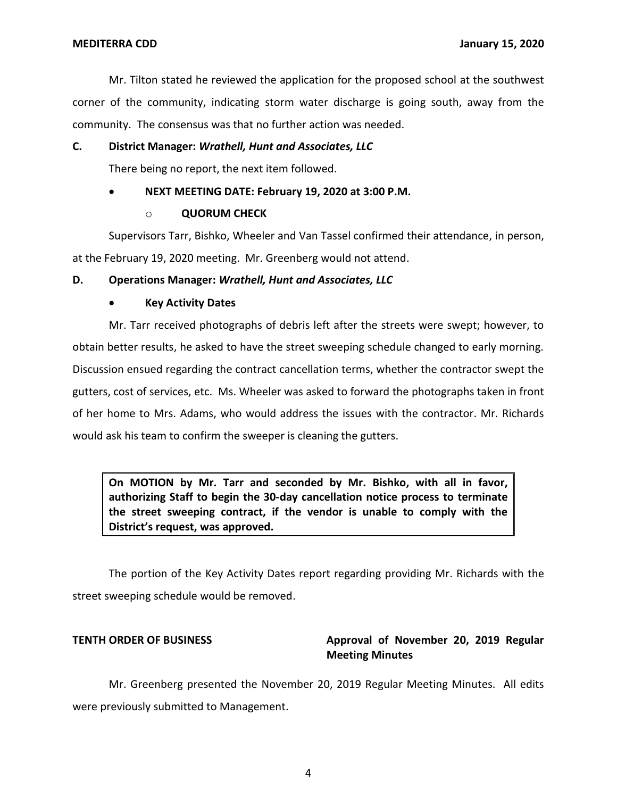Mr. Tilton stated he reviewed the application for the proposed school at the southwest community. The consensus was that no further action was needed. corner of the community, indicating storm water discharge is going south, away from the

## **C. District Manager:** *Wrathell, Hunt and Associates, LLC*

There being no report, the next item followed.

## **NEXT MEETING DATE: February 19, 2020 at 3:00 P.M.**

## o **QUORUM CHECK**

 Supervisors Tarr, Bishko, Wheeler and Van Tassel confirmed their attendance, in person, at the February 19, 2020 meeting. Mr. Greenberg would not attend.

## **D. Operations Manager:** *Wrathell, Hunt and Associates, LLC*

## **Key Activity Dates**

 Mr. Tarr received photographs of debris left after the streets were swept; however, to obtain better results, he asked to have the street sweeping schedule changed to early morning. Discussion ensued regarding the contract cancellation terms, whether the contractor swept the gutters, cost of services, etc. Ms. Wheeler was asked to forward the photographs taken in front of her home to Mrs. Adams, who would address the issues with the contractor. Mr. Richards would ask his team to confirm the sweeper is cleaning the gutters.

 **On MOTION by Mr. Tarr and seconded by Mr. Bishko, with all in favor, authorizing Staff to begin the 30-day cancellation notice process to terminate the street sweeping contract, if the vendor is unable to comply with the District's request, was approved.** 

 The portion of the Key Activity Dates report regarding providing Mr. Richards with the street sweeping schedule would be removed.

### **TENTH ORDER OF BUSINESS**

# Approval of November 20, 2019 Regular **Meeting Minutes**

 Mr. Greenberg presented the November 20, 2019 Regular Meeting Minutes. All edits were previously submitted to Management.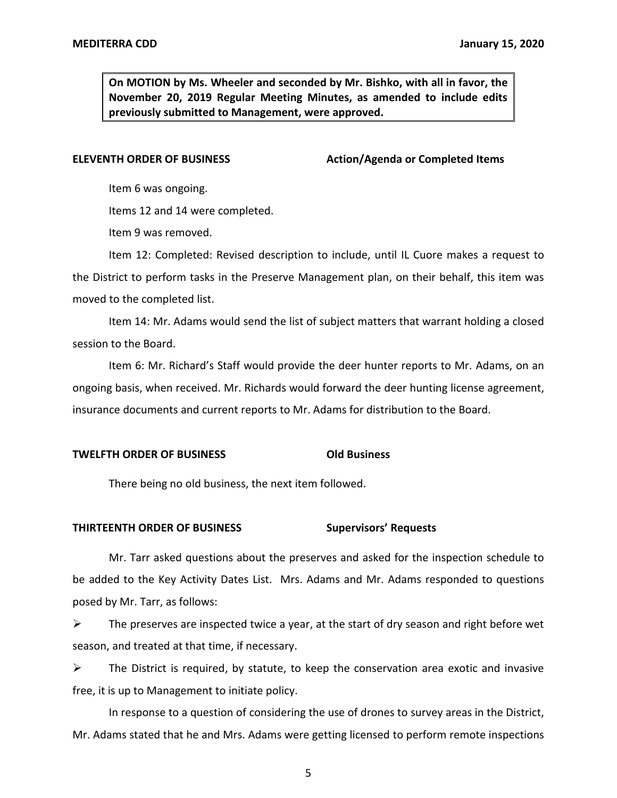**On MOTION by Ms. Wheeler and seconded by Mr. Bishko, with all in favor, the November 20, 2019 Regular Meeting Minutes, as amended to include edits previously submitted to Management, were approved.** 

**ELEVENTH ORDER OF BUSINESS** Action/Agenda or Completed Items

Item 6 was ongoing.

Items 12 and 14 were completed.

Item 9 was removed.

 Item 12: Completed: Revised description to include, until IL Cuore makes a request to the District to perform tasks in the Preserve Management plan, on their behalf, this item was moved to the completed list.

 Item 14: Mr. Adams would send the list of subject matters that warrant holding a closed session to the Board.

 Item 6: Mr. Richard's Staff would provide the deer hunter reports to Mr. Adams, on an ongoing basis, when received. Mr. Richards would forward the deer hunting license agreement, insurance documents and current reports to Mr. Adams for distribution to the Board.

# **TWELFTH ORDER OF BUSINESS Old Business**

There being no old business, the next item followed.

### **THIRTEENTH ORDER OF BUSINESS Supervisors' Requests**

 Mr. Tarr asked questions about the preserves and asked for the inspection schedule to be added to the Key Activity Dates List. Mrs. Adams and Mr. Adams responded to questions posed by Mr. Tarr, as follows:

 $\triangleright$  The preserves are inspected twice a year, at the start of dry season and right before wet season, and treated at that time, if necessary.

 $\triangleright$  The District is required, by statute, to keep the conservation area exotic and invasive free, it is up to Management to initiate policy.

 In response to a question of considering the use of drones to survey areas in the District, Mr. Adams stated that he and Mrs. Adams were getting licensed to perform remote inspections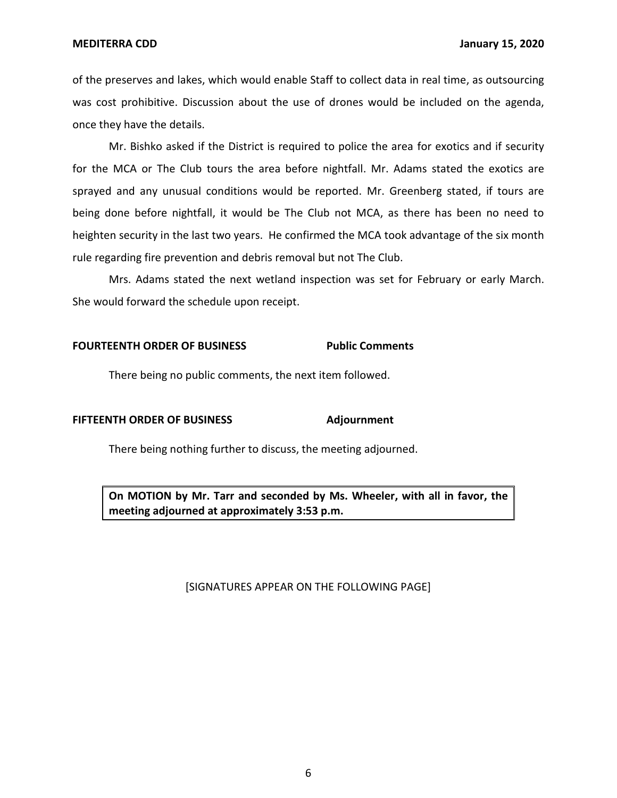**MEDITERRA CDD** 

 of the preserves and lakes, which would enable Staff to collect data in real time, as outsourcing was cost prohibitive. Discussion about the use of drones would be included on the agenda, once they have the details.

 Mr. Bishko asked if the District is required to police the area for exotics and if security for the MCA or The Club tours the area before nightfall. Mr. Adams stated the exotics are sprayed and any unusual conditions would be reported. Mr. Greenberg stated, if tours are being done before nightfall, it would be The Club not MCA, as there has been no need to heighten security in the last two years. He confirmed the MCA took advantage of the six month rule regarding fire prevention and debris removal but not The Club.

 Mrs. Adams stated the next wetland inspection was set for February or early March. She would forward the schedule upon receipt.

### **FOURTEENTH ORDER OF BUSINESS Public Comments**

There being no public comments, the next item followed.

### **FIFTEENTH ORDER OF BUSINESS Adjournment**

There being nothing further to discuss, the meeting adjourned.

 **On MOTION by Mr. Tarr and seconded by Ms. Wheeler, with all in favor, the meeting adjourned at approximately 3:53 p.m.** 

### [SIGNATURES APPEAR ON THE FOLLOWING PAGE]